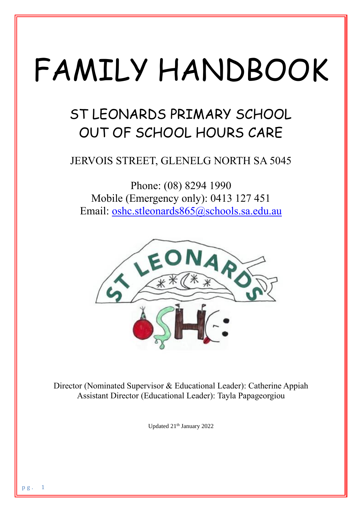# FAMILY HANDBOOK

## ST LEONARDS PRIMARY SCHOOL OUT OF SCHOOL HOURS CARE

### JERVOIS STREET, GLENELG NORTH SA 5045

Phone: (08) 8294 1990 Mobile (Emergency only): 0413 127 451 Email: [oshc.stleonards865@schools.sa.edu.au](mailto:oshc.stleonards865@schools.sa.edu.au)



Director (Nominated Supervisor & Educational Leader): Catherine Appiah Assistant Director (Educational Leader): Tayla Papageorgiou

Updated 21<sup>th</sup> January 2022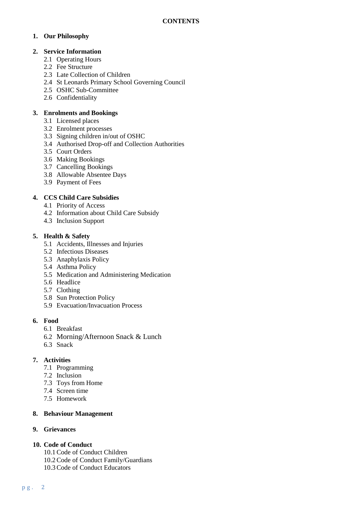#### **1. Our Philosophy**

#### **2. Service Information**

- 2.1 Operating Hours
- 2.2 Fee Structure
- 2.3 Late Collection of Children
- 2.4 St Leonards Primary School Governing Council
- 2.5 OSHC Sub-Committee
- 2.6 Confidentiality

#### **3. Enrolments and Bookings**

- 3.1 Licensed places
- 3.2 Enrolment processes
- 3.3 Signing children in/out of OSHC
- 3.4 Authorised Drop-off and Collection Authorities
- 3.5 Court Orders
- 3.6 Making Bookings
- 3.7 Cancelling Bookings
- 3.8 Allowable Absentee Days
- 3.9 Payment of Fees

#### **4. CCS Child Care Subsidies**

- 4.1 Priority of Access
- 4.2 Information about Child Care Subsidy
- 4.3 Inclusion Support

#### **5. Health & Safety**

- 5.1 Accidents, Illnesses and Injuries
- 5.2 Infectious Diseases
- 5.3 Anaphylaxis Policy
- 5.4 Asthma Policy
- 5.5 Medication and Administering Medication
- 5.6 Headlice
- 5.7 Clothing
- 5.8 Sun Protection Policy
- 5.9 Evacuation/Invacuation Process

#### **6. Food**

- 6.1 Breakfast
- 6.2 Morning/Afternoon Snack & Lunch
- 6.3 Snack

#### **7. Activities**

- 7.1 Programming
- 7.2 Inclusion
- 7.3 Toys from Home
- 7.4 Screen time
- 7.5 Homework

#### **8. Behaviour Management**

#### **9. Grievances**

#### **10. Code of Conduct**

- 10.1Code of Conduct Children
- 10.2Code of Conduct Family/Guardians
- 10.3Code of Conduct Educators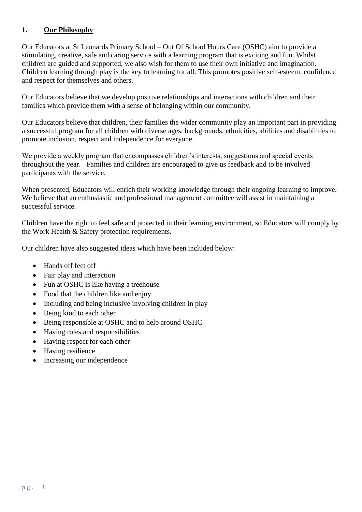#### **1. Our Philosophy**

Our Educators at St Leonards Primary School – Out Of School Hours Care (OSHC) aim to provide a stimulating, creative, safe and caring service with a learning program that is exciting and fun. Whilst children are guided and supported, we also wish for them to use their own initiative and imagination. Children learning through play is the key to learning for all. This promotes positive self-esteem, confidence and respect for themselves and others.

Our Educators believe that we develop positive relationships and interactions with children and their families which provide them with a sense of belonging within our community.

Our Educators believe that children, their families the wider community play an important part in providing a successful program for all children with diverse ages, backgrounds, ethnicities, abilities and disabilities to promote inclusion, respect and independence for everyone.

We provide a weekly program that encompasses children's interests, suggestions and special events throughout the year. Families and children are encouraged to give us feedback and to be involved participants with the service.

When presented, Educators will enrich their working knowledge through their ongoing learning to improve. We believe that an enthusiastic and professional management committee will assist in maintaining a successful service.

Children have the right to feel safe and protected in their learning environment, so Educators will comply by the Work Health & Safety protection requirements.

Our children have also suggested ideas which have been included below:

- Hands off feet off
- Fair play and interaction
- Fun at OSHC is like having a treehouse
- Food that the children like and enjoy
- Including and being inclusive involving children in play
- Being kind to each other
- Being responsible at OSHC and to help around OSHC
- Having roles and responsibilities
- Having respect for each other
- Having resilience
- Increasing our independence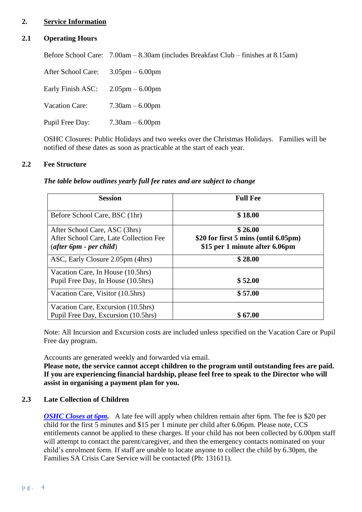#### **2. Service Information**

#### **2.1 Operating Hours**

Before School Care: 7.00am – 8.30am (includes Breakfast Club – finishes at 8.15am) After School Care: 3.05pm – 6.00pm Early Finish ASC: 2.05pm – 6.00pm Vacation Care: 7.30am – 6.00pm Pupil Free Day: 7.30am – 6.00pm

OSHC Closures: Public Holidays and two weeks over the Christmas Holidays. Families will be notified of these dates as soon as practicable at the start of each year.

#### **2.2 Fee Structure**

| The table below outlines yearly full fee rates and are subject to change |  |  |  |  |  |  |  |  |  |  |
|--------------------------------------------------------------------------|--|--|--|--|--|--|--|--|--|--|
|--------------------------------------------------------------------------|--|--|--|--|--|--|--|--|--|--|

| <b>Session</b>                         | <b>Full Fee</b>                      |
|----------------------------------------|--------------------------------------|
| Before School Care, BSC (1hr)          | \$18.00                              |
| After School Care, ASC (3hrs)          | \$26.00                              |
| After School Care, Late Collection Fee | \$20 for first 5 mins (until 6.05pm) |
| $(after\,6pm\,$ - per child)           | \$15 per 1 minute after 6.06pm       |
| ASC, Early Closure 2.05pm (4hrs)       | \$28.00                              |
| Vacation Care, In House (10.5hrs)      |                                      |
| Pupil Free Day, In House (10.5hrs)     | \$52.00                              |
| Vacation Care, Visitor (10.5hrs)       | \$57.00                              |
| Vacation Care, Excursion (10.5hrs)     |                                      |
| Pupil Free Day, Excursion (10.5hrs)    | \$67.00                              |

Note: All Incursion and Excursion costs are included unless specified on the Vacation Care or Pupil Free day program.

Accounts are generated weekly and forwarded via email.

**Please note, the service cannot accept children to the program until outstanding fees are paid. If you are experiencing financial hardship, please feel free to speak to the Director who will assist in organising a payment plan for you.**

#### **2.3 Late Collection of Children**

*OSHC Closes at 6pm.* A late fee will apply when children remain after 6pm. The fee is \$20 per child for the first 5 minutes and \$15 per 1 minute per child after 6.06pm. Please note, CCS entitlements cannot be applied to these charges. If your child has not been collected by 6.00pm staff will attempt to contact the parent/caregiver, and then the emergency contacts nominated on your child's enrolment form. If staff are unable to locate anyone to collect the child by 6.30pm, the Families SA Crisis Care Service will be contacted (Ph: 131611).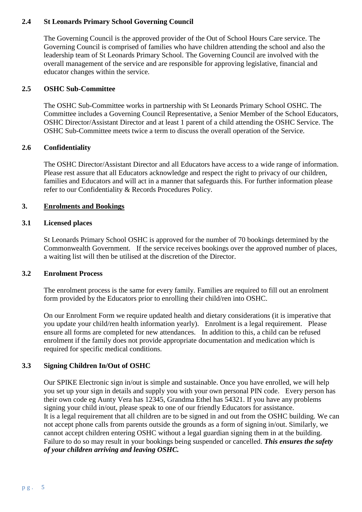#### **2.4 St Leonards Primary School Governing Council**

The Governing Council is the approved provider of the Out of School Hours Care service. The Governing Council is comprised of families who have children attending the school and also the leadership team of St Leonards Primary School. The Governing Council are involved with the overall management of the service and are responsible for approving legislative, financial and educator changes within the service.

#### **2.5 OSHC Sub-Committee**

The OSHC Sub-Committee works in partnership with St Leonards Primary School OSHC. The Committee includes a Governing Council Representative, a Senior Member of the School Educators, OSHC Director/Assistant Director and at least 1 parent of a child attending the OSHC Service. The OSHC Sub-Committee meets twice a term to discuss the overall operation of the Service.

#### **2.6 Confidentiality**

The OSHC Director/Assistant Director and all Educators have access to a wide range of information. Please rest assure that all Educators acknowledge and respect the right to privacy of our children, families and Educators and will act in a manner that safeguards this. For further information please refer to our Confidentiality & Records Procedures Policy.

#### **3. Enrolments and Bookings**

#### **3.1 Licensed places**

St Leonards Primary School OSHC is approved for the number of 70 bookings determined by the Commonwealth Government. If the service receives bookings over the approved number of places, a waiting list will then be utilised at the discretion of the Director.

#### **3.2 Enrolment Process**

The enrolment process is the same for every family. Families are required to fill out an enrolment form provided by the Educators prior to enrolling their child/ren into OSHC.

On our Enrolment Form we require updated health and dietary considerations (it is imperative that you update your child/ren health information yearly). Enrolment is a legal requirement. Please ensure all forms are completed for new attendances. In addition to this, a child can be refused enrolment if the family does not provide appropriate documentation and medication which is required for specific medical conditions.

#### **3.3 Signing Children In/Out of OSHC**

Our SPIKE Electronic sign in/out is simple and sustainable. Once you have enrolled, we will help you set up your sign in details and supply you with your own personal PIN code. Every person has their own code eg Aunty Vera has 12345, Grandma Ethel has 54321. If you have any problems signing your child in/out, please speak to one of our friendly Educators for assistance. It is a legal requirement that all children are to be signed in and out from the OSHC building. We can not accept phone calls from parents outside the grounds as a form of signing in/out. Similarly, we cannot accept children entering OSHC without a legal guardian signing them in at the building. Failure to do so may result in your bookings being suspended or cancelled. *This ensures the safety of your children arriving and leaving OSHC.*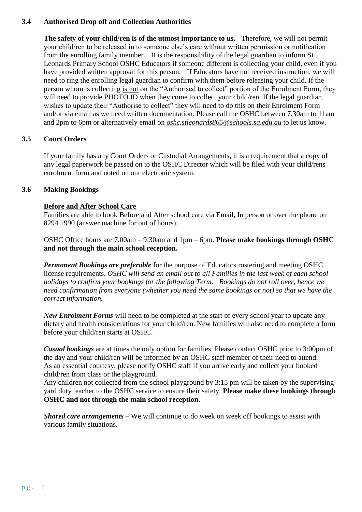#### **3.4 Authorised Drop off and Collection Authorities**

**The safety of your child/ren is of the utmost importance to us.** Therefore, we will not permit your child/ren to be released in to someone else's care without written permission or notification from the enrolling family member. It is the responsibility of the legal guardian to inform St Leonards Primary School OSHC Educators if someone different is collecting your child, even if you have provided written approval for this person. If Educators have not received instruction, we will need to ring the enrolling legal guardian to confirm with them before releasing your child. If the person whom is collecting is not on the "Authorised to collect" portion of the Enrolment Form, they will need to provide PHOTO ID when they come to collect your child/ren. If the legal guardian, wishes to update their "Authorise to collect" they will need to do this on their Enrolment Form and/or via email as we need written documentation. Please call the OSHC between 7.30am to 11am and 2pm to 6pm or alternatively email on *oshc.stleonards865@schools.sa.edu.au* to let us know.

#### **3.5 Court Orders**

If your family has any Court Orders or Custodial Arrangements, it is a requirement that a copy of any legal paperwork be passed on to the OSHC Director which will be filed with your child/rens enrolment form and noted on our electronic system.

#### **3.6 Making Bookings**

#### **Before and After School Care**

Families are able to book Before and After school care via Email, In person or over the phone on 8294 1990 (answer machine for out of hours).

OSHC Office hours are 7.00am – 9:30am and 1pm – 6pm. **Please make bookings through OSHC and not through the main school reception.** 

*Permanent Bookings are preferable* for the purpose of Educators rostering and meeting OSHC license requirements. *OSHC will send an email out to all Families in the last week of each school holidays to confirm your bookings for the following Term. Bookings do not roll over, hence we need confirmation from everyone (whether you need the same bookings or not) so that we have the correct information.*

*New Enrolment Forms* will need to be completed at the start of every school year to update any dietary and health considerations for your child/ren. New families will also need to complete a form before your child/ren starts at OSHC.

*Casual bookings* are at times the only option for families. Please contact OSHC prior to 3:00pm of the day and your child/ren will be informed by an OSHC staff member of their need to attend. As an essential courtesy, please notify OSHC staff if you arrive early and collect your booked child/ren from class or the playground.

Any children not collected from the school playground by 3:15 pm will be taken by the supervising yard duty teacher to the OSHC service to ensure their safety. **Please make these bookings through OSHC and not through the main school reception.**

*Shared care arrangements* – We will continue to do week on week off bookings to assist with various family situations.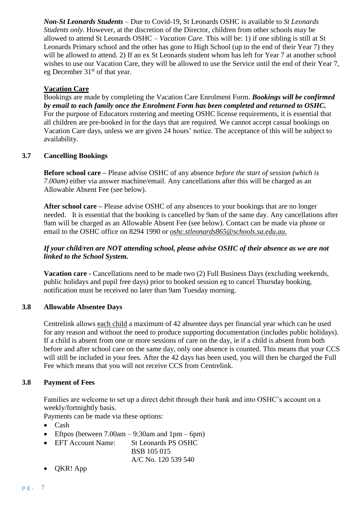*Non-St Leonards Students* – Due to Covid-19, St Leonards OSHC is available to *St Leonards Students only*. However, at the discretion of the Director, children from other schools may be allowed to attend St Leonards OSHC – *Vacation Care*. This will be: 1) if one sibling is still at St Leonards Primary school and the other has gone to High School (up to the end of their Year 7) they will be allowed to attend. 2) If an ex St Leonards student whom has left for Year 7 at another school wishes to use our Vacation Care, they will be allowed to use the Service until the end of their Year 7, eg December 31<sup>st</sup> of that year.

#### **Vacation Care**

Bookings are made by completing the Vacation Care Enrolment Form. *Bookings will be confirmed by email to each family once the Enrolment Form has been completed and returned to OSHC.*  For the purpose of Educators rostering and meeting OSHC license requirements, it is essential that all children are pre-booked in for the days that are required. We cannot accept casual bookings on Vacation Care days, unless we are given 24 hours' notice. The acceptance of this will be subject to availability.

#### **3.7 Cancelling Bookings**

**Before school care –** Please advise OSHC of any absence *before the start of session (which is 7.00am)* either via answer machine/email. Any cancellations after this will be charged as an Allowable Absent Fee (see below).

**After school care –** Please advise OSHC of any absences to your bookings that are no longer needed. It is essential that the booking is cancelled by 9am of the same day. Any cancellations after 9am will be charged as an Allowable Absent Fee (see below). Contact can be made via phone or email to the OSHC office on 8294 1990 or *oshc.stleonards865@schools.sa.edu.au.*

#### *If your child/ren are NOT attending school, please advise OSHC of their absence as we are not linked to the School System.*

**Vacation care -** Cancellations need to be made two (2) Full Business Days (excluding weekends, public holidays and pupil free days) prior to booked session eg to cancel Thursday booking, notification must be received no later than 9am Tuesday morning.

#### **3.8 Allowable Absentee Days**

Centrelink allows each child a maximum of 42 absentee days per financial year which can be used for any reason and without the need to produce supporting documentation (includes public holidays). If a child is absent from one or more sessions of care on the day, ie if a child is absent from both before and after school care on the same day, only one absence is counted. This means that your CCS will still be included in your fees. After the 42 days has been used, you will then be charged the Full Fee which means that you will not receive CCS from Centrelink.

#### **3.8 Payment of Fees**

Families are welcome to set up a direct debit through their bank and into OSHC's account on a weekly/fortnightly basis.

Payments can be made via these options:

- Cash
- Eftpos (between  $7.00am 9:30am$  and  $1pm 6pm$ )
- EFT Account Name: St Leonards PS OSHC BSB 105 015

A/C No. 120 539 540

• QKR! App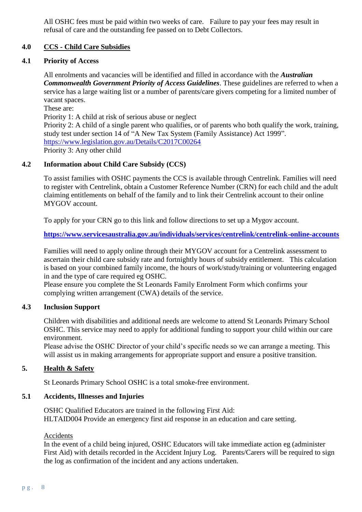All OSHC fees must be paid within two weeks of care. Failure to pay your fees may result in refusal of care and the outstanding fee passed on to Debt Collectors.

#### **4.0 CCS - Child Care Subsidies**

#### **4.1 Priority of Access**

All enrolments and vacancies will be identified and filled in accordance with the *Australian Commonwealth Government Priority of Access Guidelines*. These guidelines are referred to when a service has a large waiting list or a number of parents/care givers competing for a limited number of vacant spaces.

These are:

Priority 1: A child at risk of serious abuse or neglect

Priority 2: A child of a single parent who qualifies, or of parents who both qualify the work, training, study test under section 14 of "A New Tax System (Family Assistance) Act 1999". <https://www.legislation.gov.au/Details/C2017C00264> Priority 3: Any other child

#### **4.2 Information about Child Care Subsidy (CCS)**

To assist families with OSHC payments the CCS is available through Centrelink. Families will need to register with Centrelink, obtain a Customer Reference Number (CRN) for each child and the adult claiming entitlements on behalf of the family and to link their Centrelink account to their online MYGOV account.

To apply for your CRN go to this link and follow directions to set up a Mygov account.

**<https://www.servicesaustralia.gov.au/individuals/services/centrelink/centrelink-online-accounts>**

Families will need to apply online through their MYGOV account for a Centrelink assessment to ascertain their child care subsidy rate and fortnightly hours of subsidy entitlement. This calculation is based on your combined family income, the hours of work/study/training or volunteering engaged in and the type of care required eg OSHC.

Please ensure you complete the St Leonards Family Enrolment Form which confirms your complying written arrangement (CWA) details of the service.

#### **4.3 Inclusion Support**

Children with disabilities and additional needs are welcome to attend St Leonards Primary School OSHC. This service may need to apply for additional funding to support your child within our care environment.

Please advise the OSHC Director of your child's specific needs so we can arrange a meeting. This will assist us in making arrangements for appropriate support and ensure a positive transition.

#### **5. Health & Safety**

St Leonards Primary School OSHC is a total smoke-free environment.

#### **5.1 Accidents, Illnesses and Injuries**

OSHC Qualified Educators are trained in the following First Aid: HLTAID004 Provide an emergency first aid response in an education and care setting.

#### Accidents

In the event of a child being injured, OSHC Educators will take immediate action eg (administer First Aid) with details recorded in the Accident Injury Log. Parents/Carers will be required to sign the log as confirmation of the incident and any actions undertaken.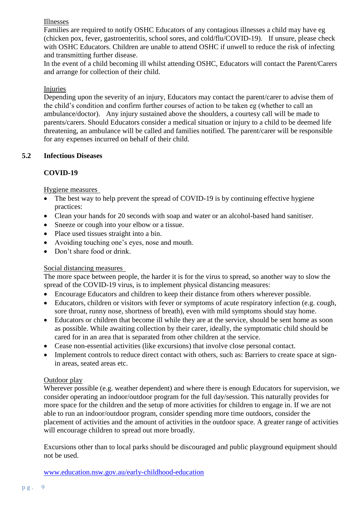#### Illnesses

Families are required to notify OSHC Educators of any contagious illnesses a child may have eg (chicken pox, fever, gastroenteritis, school sores, and cold/flu/COVID-19). If unsure, please check with OSHC Educators. Children are unable to attend OSHC if unwell to reduce the risk of infecting and transmitting further disease.

In the event of a child becoming ill whilst attending OSHC, Educators will contact the Parent/Carers and arrange for collection of their child.

#### Injuries

Depending upon the severity of an injury, Educators may contact the parent/carer to advise them of the child's condition and confirm further courses of action to be taken eg (whether to call an ambulance/doctor). Any injury sustained above the shoulders, a courtesy call will be made to parents/carers. Should Educators consider a medical situation or injury to a child to be deemed life threatening, an ambulance will be called and families notified. The parent/carer will be responsible for any expenses incurred on behalf of their child.

#### **5.2 Infectious Diseases**

#### **COVID-19**

Hygiene measures

- The best way to help prevent the spread of COVID-19 is by continuing effective hygiene practices:
- Clean your hands for 20 seconds with soap and water or an alcohol-based hand sanitiser.
- Sneeze or cough into your elbow or a tissue.
- Place used tissues straight into a bin.
- Avoiding touching one's eyes, nose and mouth.
- Don't share food or drink.

#### Social distancing measures

The more space between people, the harder it is for the virus to spread, so another way to slow the spread of the COVID-19 virus, is to implement physical distancing measures:

- Encourage Educators and children to keep their distance from others wherever possible.
- Educators, children or visitors with fever or symptoms of acute respiratory infection (e.g. cough, sore throat, runny nose, shortness of breath), even with mild symptoms should stay home.
- Educators or children that become ill while they are at the service, should be sent home as soon as possible. While awaiting collection by their carer, ideally, the symptomatic child should be cared for in an area that is separated from other children at the service.
- Cease non-essential activities (like excursions) that involve close personal contact.
- Implement controls to reduce direct contact with others, such as: Barriers to create space at signin areas, seated areas etc.

#### Outdoor play

Wherever possible (e.g. weather dependent) and where there is enough Educators for supervision, we consider operating an indoor/outdoor program for the full day/session. This naturally provides for more space for the children and the setup of more activities for children to engage in. If we are not able to run an indoor/outdoor program, consider spending more time outdoors, consider the placement of activities and the amount of activities in the outdoor space. A greater range of activities will encourage children to spread out more broadly.

Excursions other than to local parks should be discouraged and public playground equipment should not be used.

[www.education.nsw.gov.au/early-childhood-education](http://www.education.nsw.gov.au/early-childhood-education)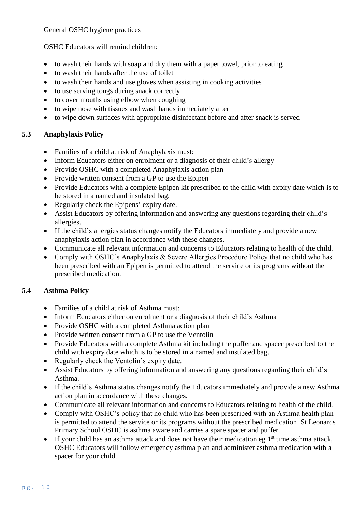#### General OSHC hygiene practices

OSHC Educators will remind children:

- to wash their hands with soap and dry them with a paper towel, prior to eating
- to wash their hands after the use of toilet
- to wash their hands and use gloves when assisting in cooking activities
- to use serving tongs during snack correctly
- to cover mouths using elbow when coughing
- to wipe nose with tissues and wash hands immediately after
- to wipe down surfaces with appropriate disinfectant before and after snack is served

#### **5.3 Anaphylaxis Policy**

- Families of a child at risk of Anaphylaxis must:
- Inform Educators either on enrolment or a diagnosis of their child's allergy
- Provide OSHC with a completed Anaphylaxis action plan
- Provide written consent from a GP to use the Epipen
- Provide Educators with a complete Epipen kit prescribed to the child with expiry date which is to be stored in a named and insulated bag.
- Regularly check the Epipens' expiry date.
- Assist Educators by offering information and answering any questions regarding their child's allergies.
- If the child's allergies status changes notify the Educators immediately and provide a new anaphylaxis action plan in accordance with these changes.
- Communicate all relevant information and concerns to Educators relating to health of the child.
- Comply with OSHC's Anaphylaxis & Severe Allergies Procedure Policy that no child who has been prescribed with an Epipen is permitted to attend the service or its programs without the prescribed medication.

#### **5.4 Asthma Policy**

- Families of a child at risk of Asthma must:
- Inform Educators either on enrolment or a diagnosis of their child's Asthma
- Provide OSHC with a completed Asthma action plan
- Provide written consent from a GP to use the Ventolin
- Provide Educators with a complete Asthma kit including the puffer and spacer prescribed to the child with expiry date which is to be stored in a named and insulated bag.
- Regularly check the Ventolin's expiry date.
- Assist Educators by offering information and answering any questions regarding their child's Asthma.
- If the child's Asthma status changes notify the Educators immediately and provide a new Asthma action plan in accordance with these changes.
- Communicate all relevant information and concerns to Educators relating to health of the child.
- Comply with OSHC's policy that no child who has been prescribed with an Asthma health plan is permitted to attend the service or its programs without the prescribed medication. St Leonards Primary School OSHC is asthma aware and carries a spare spacer and puffer.
- If your child has an asthma attack and does not have their medication eg  $1<sup>st</sup>$  time asthma attack, OSHC Educators will follow emergency asthma plan and administer asthma medication with a spacer for your child.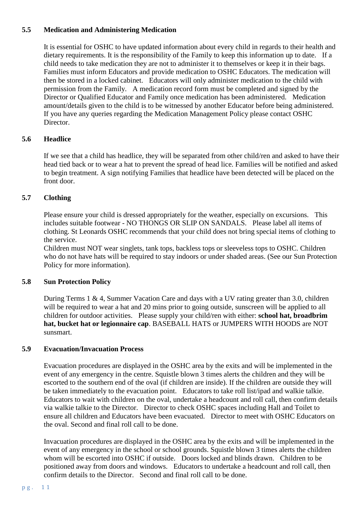#### **5.5 Medication and Administering Medication**

It is essential for OSHC to have updated information about every child in regards to their health and dietary requirements. It is the responsibility of the Family to keep this information up to date. If a child needs to take medication they are not to administer it to themselves or keep it in their bags. Families must inform Educators and provide medication to OSHC Educators. The medication will then be stored in a locked cabinet. Educators will only administer medication to the child with permission from the Family. A medication record form must be completed and signed by the Director or Qualified Educator and Family once medication has been administered. Medication amount/details given to the child is to be witnessed by another Educator before being administered. If you have any queries regarding the Medication Management Policy please contact OSHC Director.

#### **5.6 Headlice**

If we see that a child has headlice, they will be separated from other child/ren and asked to have their head tied back or to wear a hat to prevent the spread of head lice. Families will be notified and asked to begin treatment. A sign notifying Families that headlice have been detected will be placed on the front door.

#### **5.7 Clothing**

Please ensure your child is dressed appropriately for the weather, especially on excursions. This includes suitable footwear - NO THONGS OR SLIP ON SANDALS. Please label all items of clothing. St Leonards OSHC recommends that your child does not bring special items of clothing to the service.

Children must NOT wear singlets, tank tops, backless tops or sleeveless tops to OSHC. Children who do not have hats will be required to stay indoors or under shaded areas. (See our Sun Protection Policy for more information).

#### **5.8 Sun Protection Policy**

During Terms 1 & 4, Summer Vacation Care and days with a UV rating greater than 3.0, children will be required to wear a hat and 20 mins prior to going outside, sunscreen will be applied to all children for outdoor activities. Please supply your child/ren with either: **school hat, broadbrim hat, bucket hat or legionnaire cap**. BASEBALL HATS or JUMPERS WITH HOODS are NOT sunsmart.

#### **5.9 Evacuation/Invacuation Process**

Evacuation procedures are displayed in the OSHC area by the exits and will be implemented in the event of any emergency in the centre. Squistle blown 3 times alerts the children and they will be escorted to the southern end of the oval (if children are inside). If the children are outside they will be taken immediately to the evacuation point. Educators to take roll list/ipad and walkie talkie. Educators to wait with children on the oval, undertake a headcount and roll call, then confirm details via walkie talkie to the Director. Director to check OSHC spaces including Hall and Toilet to ensure all children and Educators have been evacuated. Director to meet with OSHC Educators on the oval. Second and final roll call to be done.

Invacuation procedures are displayed in the OSHC area by the exits and will be implemented in the event of any emergency in the school or school grounds. Squistle blown 3 times alerts the children whom will be escorted into OSHC if outside. Doors locked and blinds drawn. Children to be positioned away from doors and windows. Educators to undertake a headcount and roll call, then confirm details to the Director. Second and final roll call to be done.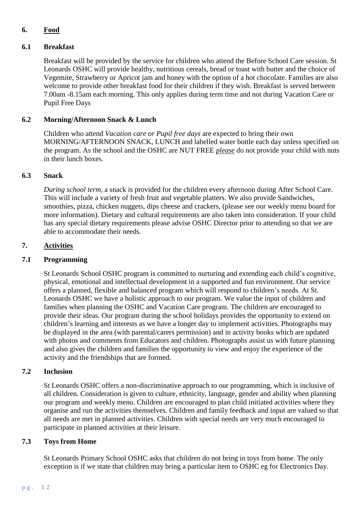#### **6. Food**

#### **6.1 Breakfast**

Breakfast will be provided by the service for children who attend the Before School Care session. St Leonards OSHC will provide healthy, nutritious cereals, bread or toast with butter and the choice of Vegemite, Strawberry or Apricot jam and honey with the option of a hot chocolate. Families are also welcome to provide other breakfast food for their children if they wish. Breakfast is served between 7.00am -8.15am each morning. This only applies during term time and not during Vacation Care or Pupil Free Days

#### **6.2 Morning/Afternoon Snack & Lunch**

Children who attend *Vacation care or Pupil free days* are expected to bring their own MORNING/AFTERNOON SNACK, LUNCH and labelled water bottle each day unless specified on the program. As the school and the OSHC are NUT FREE *please* do not provide your child with nuts in their lunch boxes.

#### **6.3 Snack**

*During school term*, a snack is provided for the children every afternoon during After School Care. This will include a variety of fresh fruit and vegetable platters. We also provide Sandwiches, smoothies, pizza, chicken nuggets, dips cheese and crackers, (please see our weekly menu board for more information). Dietary and cultural requirements are also taken into consideration. If your child has any special dietary requirements please advise OSHC Director prior to attending so that we are able to accommodate their needs.

#### **7. Activities**

#### **7.1 Programming**

St Leonards School OSHC program is committed to nurturing and extending each child's cognitive, physical, emotional and intellectual development in a supported and fun environment. Our service offers a planned, flexible and balanced program which will respond to children's needs. At St. Leonards OSHC we have a holistic approach to our program. We value the input of children and families when planning the OSHC and Vacation Care program. The children are encouraged to provide their ideas. Our program during the school holidays provides the opportunity to extend on children's learning and interests as we have a longer day to implement activities. Photographs may be displayed in the area (with parental/carers permission) and in activity books which are updated with photos and comments from Educators and children. Photographs assist us with future planning and also gives the children and families the opportunity to view and enjoy the experience of the activity and the friendships that are formed.

#### **7.2 Inclusion**

St Leonards OSHC offers a non-discriminative approach to our programming, which is inclusive of all children. Consideration is given to culture, ethnicity, language, gender and ability when planning our program and weekly menu. Children are encouraged to plan child initiated activities where they organise and run the activities themselves. Children and family feedback and input are valued so that all needs are met in planned activities. Children with special needs are very much encouraged to participate in planned activities at their leisure.

#### **7.3 Toys from Home**

St Leonards Primary School OSHC asks that children do not bring in toys from home. The only exception is if we state that children may bring a particular item to OSHC eg for Electronics Day.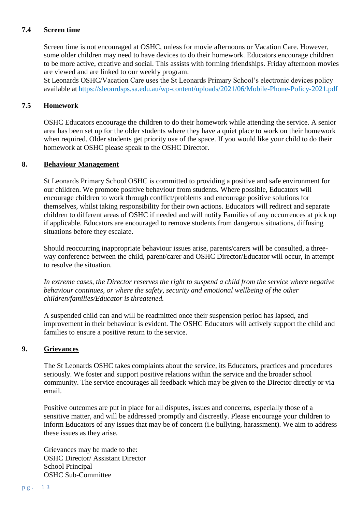#### **7.4 Screen time**

Screen time is not encouraged at OSHC, unless for movie afternoons or Vacation Care. However, some older children may need to have devices to do their homework. Educators encourage children to be more active, creative and social. This assists with forming friendships. Friday afternoon movies are viewed and are linked to our weekly program.

St Leonards OSHC/Vacation Care uses the St Leonards Primary School's electronic devices policy available at https://sleonrdsps.sa.edu.au/wp-content/uploads/2021/06/Mobile-Phone-Policy-2021.pdf

#### **7.5 Homework**

OSHC Educators encourage the children to do their homework while attending the service. A senior area has been set up for the older students where they have a quiet place to work on their homework when required. Older students get priority use of the space. If you would like your child to do their homework at OSHC please speak to the OSHC Director.

#### **8. Behaviour Management**

St Leonards Primary School OSHC is committed to providing a positive and safe environment for our children. We promote positive behaviour from students. Where possible, Educators will encourage children to work through conflict/problems and encourage positive solutions for themselves, whilst taking responsibility for their own actions. Educators will redirect and separate children to different areas of OSHC if needed and will notify Families of any occurrences at pick up if applicable. Educators are encouraged to remove students from dangerous situations, diffusing situations before they escalate.

Should reoccurring inappropriate behaviour issues arise, parents/carers will be consulted, a threeway conference between the child, parent/carer and OSHC Director/Educator will occur, in attempt to resolve the situation.

*In extreme cases, the Director reserves the right to suspend a child from the service where negative behaviour continues, or where the safety, security and emotional wellbeing of the other children/families/Educator is threatened.*

A suspended child can and will be readmitted once their suspension period has lapsed, and improvement in their behaviour is evident. The OSHC Educators will actively support the child and families to ensure a positive return to the service.

#### **9. Grievances**

The St Leonards OSHC takes complaints about the service, its Educators, practices and procedures seriously. We foster and support positive relations within the service and the broader school community. The service encourages all feedback which may be given to the Director directly or via email.

Positive outcomes are put in place for all disputes, issues and concerns, especially those of a sensitive matter, and will be addressed promptly and discreetly. Please encourage your children to inform Educators of any issues that may be of concern (i.e bullying, harassment). We aim to address these issues as they arise.

Grievances may be made to the: OSHC Director/ Assistant Director School Principal OSHC Sub-Committee